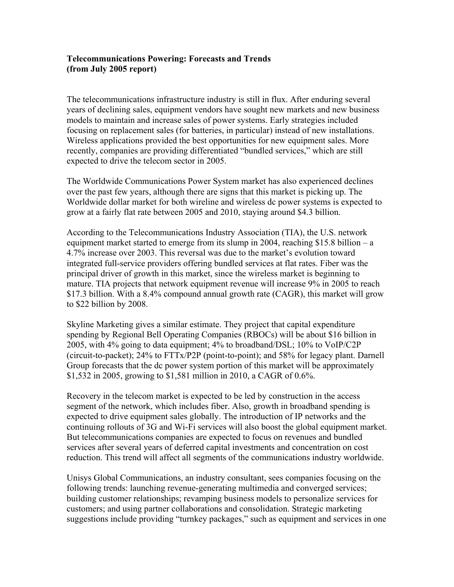### **Telecommunications Powering: Forecasts and Trends (from July 2005 report)**

The telecommunications infrastructure industry is still in flux. After enduring several years of declining sales, equipment vendors have sought new markets and new business models to maintain and increase sales of power systems. Early strategies included focusing on replacement sales (for batteries, in particular) instead of new installations. Wireless applications provided the best opportunities for new equipment sales. More recently, companies are providing differentiated "bundled services," which are still expected to drive the telecom sector in 2005.

The Worldwide Communications Power System market has also experienced declines over the past few years, although there are signs that this market is picking up. The Worldwide dollar market for both wireline and wireless dc power systems is expected to grow at a fairly flat rate between 2005 and 2010, staying around \$4.3 billion.

According to the Telecommunications Industry Association (TIA), the U.S. network equipment market started to emerge from its slump in 2004, reaching \$15.8 billion – a 4.7% increase over 2003. This reversal was due to the market's evolution toward integrated full-service providers offering bundled services at flat rates. Fiber was the principal driver of growth in this market, since the wireless market is beginning to mature. TIA projects that network equipment revenue will increase 9% in 2005 to reach \$17.3 billion. With a 8.4% compound annual growth rate (CAGR), this market will grow to \$22 billion by 2008.

Skyline Marketing gives a similar estimate. They project that capital expenditure spending by Regional Bell Operating Companies (RBOCs) will be about \$16 billion in 2005, with 4% going to data equipment; 4% to broadband/DSL; 10% to VoIP/C2P (circuit-to-packet); 24% to FTTx/P2P (point-to-point); and 58% for legacy plant. Darnell Group forecasts that the dc power system portion of this market will be approximately \$1,532 in 2005, growing to \$1,581 million in 2010, a CAGR of 0.6%.

Recovery in the telecom market is expected to be led by construction in the access segment of the network, which includes fiber. Also, growth in broadband spending is expected to drive equipment sales globally. The introduction of IP networks and the continuing rollouts of 3G and Wi-Fi services will also boost the global equipment market. But telecommunications companies are expected to focus on revenues and bundled services after several years of deferred capital investments and concentration on cost reduction. This trend will affect all segments of the communications industry worldwide.

Unisys Global Communications, an industry consultant, sees companies focusing on the following trends: launching revenue-generating multimedia and converged services; building customer relationships; revamping business models to personalize services for customers; and using partner collaborations and consolidation. Strategic marketing suggestions include providing "turnkey packages," such as equipment and services in one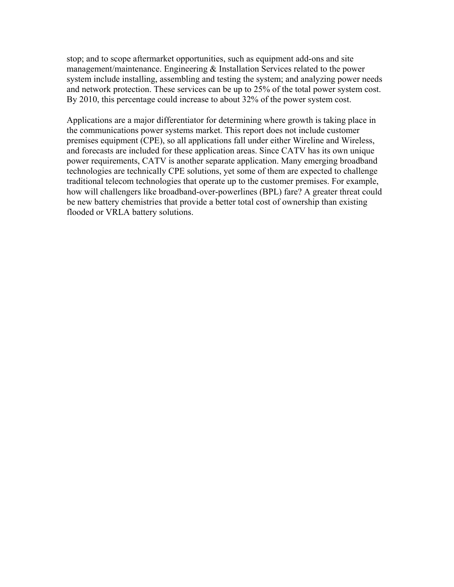stop; and to scope aftermarket opportunities, such as equipment add-ons and site management/maintenance. Engineering & Installation Services related to the power system include installing, assembling and testing the system; and analyzing power needs and network protection. These services can be up to 25% of the total power system cost. By 2010, this percentage could increase to about 32% of the power system cost.

Applications are a major differentiator for determining where growth is taking place in the communications power systems market. This report does not include customer premises equipment (CPE), so all applications fall under either Wireline and Wireless, and forecasts are included for these application areas. Since CATV has its own unique power requirements, CATV is another separate application. Many emerging broadband technologies are technically CPE solutions, yet some of them are expected to challenge traditional telecom technologies that operate up to the customer premises. For example, how will challengers like broadband-over-powerlines (BPL) fare? A greater threat could be new battery chemistries that provide a better total cost of ownership than existing flooded or VRLA battery solutions.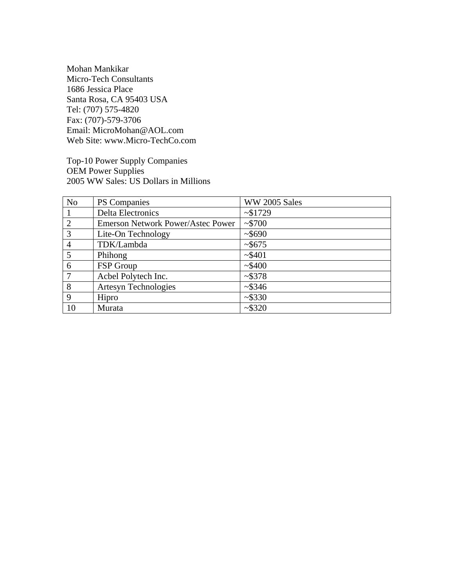Mohan Mankikar Micro-Tech Consultants 1686 Jessica Place Santa Rosa, CA 95403 USA Tel: (707) 575-4820 Fax: (707)-579-3706 Email: MicroMohan@AOL.com Web Site: www.Micro-TechCo.com

Top-10 Power Supply Companies OEM Power Supplies 2005 WW Sales: US Dollars in Millions

| N <sub>o</sub> | PS Companies                             | WW 2005 Sales |
|----------------|------------------------------------------|---------------|
|                | <b>Delta Electronics</b>                 | ~1729         |
| $\overline{2}$ | <b>Emerson Network Power/Astec Power</b> | ~15700        |
| 3              | Lite-On Technology                       | ~5690         |
| 4              | TDK/Lambda                               | ~5675         |
| 5              | Phihong                                  | $~1$ $~5401$  |
| 6              | FSP Group                                | ~1.5400       |
| 7              | Acbel Polytech Inc.                      | ~2\$378       |
| 8              | <b>Artesyn Technologies</b>              | ~2\$346       |
| 9              | Hipro                                    | ~15330        |
| 10             | Murata                                   | ~1.5320       |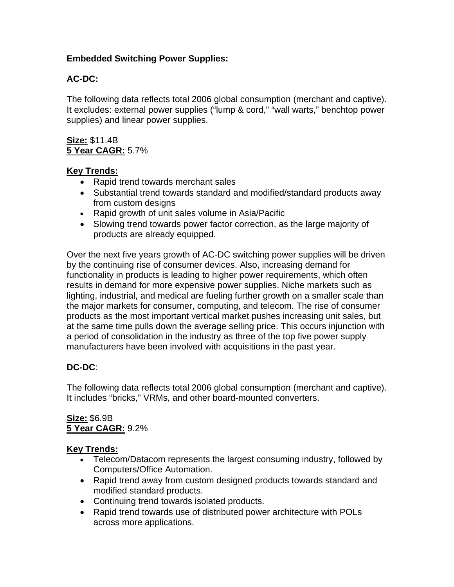## **Embedded Switching Power Supplies:**

# **AC-DC:**

The following data reflects total 2006 global consumption (merchant and captive). It excludes: external power supplies ("lump & cord," "wall warts," benchtop power supplies) and linear power supplies.

#### **Size:** \$11.4B **5 Year CAGR:** 5.7%

### **Key Trends:**

- Rapid trend towards merchant sales
- Substantial trend towards standard and modified/standard products away from custom designs
- Rapid growth of unit sales volume in Asia/Pacific
- Slowing trend towards power factor correction, as the large majority of products are already equipped.

Over the next five years growth of AC-DC switching power supplies will be driven by the continuing rise of consumer devices. Also, increasing demand for functionality in products is leading to higher power requirements, which often results in demand for more expensive power supplies. Niche markets such as lighting, industrial, and medical are fueling further growth on a smaller scale than the major markets for consumer, computing, and telecom. The rise of consumer products as the most important vertical market pushes increasing unit sales, but at the same time pulls down the average selling price. This occurs injunction with a period of consolidation in the industry as three of the top five power supply manufacturers have been involved with acquisitions in the past year.

## **DC-DC**:

The following data reflects total 2006 global consumption (merchant and captive). It includes "bricks," VRMs, and other board-mounted converters.

# **Size:** \$6.9B **5 Year CAGR:** 9.2%

## **Key Trends:**

- Telecom/Datacom represents the largest consuming industry, followed by Computers/Office Automation.
- Rapid trend away from custom designed products towards standard and modified standard products.
- Continuing trend towards isolated products.
- Rapid trend towards use of distributed power architecture with POLs across more applications.